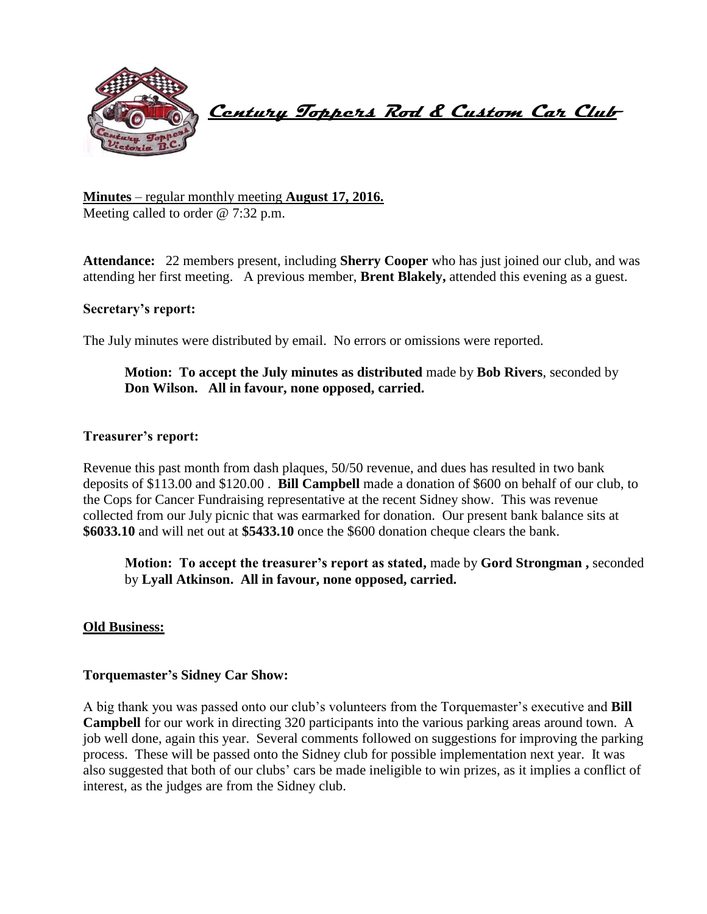

 **Century Toppers Rod & Custom Car Club** 

**Minutes** – regular monthly meeting **August 17, 2016.** Meeting called to order @ 7:32 p.m.

**Attendance:** 22 members present, including **Sherry Cooper** who has just joined our club, and was attending her first meeting. A previous member, **Brent Blakely,** attended this evening as a guest.

## **Secretary's report:**

The July minutes were distributed by email. No errors or omissions were reported.

# **Motion: To accept the July minutes as distributed** made by **Bob Rivers**, seconded by **Don Wilson. All in favour, none opposed, carried.**

#### **Treasurer's report:**

Revenue this past month from dash plaques, 50/50 revenue, and dues has resulted in two bank deposits of \$113.00 and \$120.00 . **Bill Campbell** made a donation of \$600 on behalf of our club, to the Cops for Cancer Fundraising representative at the recent Sidney show. This was revenue collected from our July picnic that was earmarked for donation. Our present bank balance sits at **\$6033.10** and will net out at **\$5433.10** once the \$600 donation cheque clears the bank.

**Motion: To accept the treasurer's report as stated,** made by **Gord Strongman ,** seconded by **Lyall Atkinson. All in favour, none opposed, carried.**

#### **Old Business:**

#### **Torquemaster's Sidney Car Show:**

A big thank you was passed onto our club's volunteers from the Torquemaster's executive and **Bill Campbell** for our work in directing 320 participants into the various parking areas around town. A job well done, again this year. Several comments followed on suggestions for improving the parking process. These will be passed onto the Sidney club for possible implementation next year. It was also suggested that both of our clubs' cars be made ineligible to win prizes, as it implies a conflict of interest, as the judges are from the Sidney club.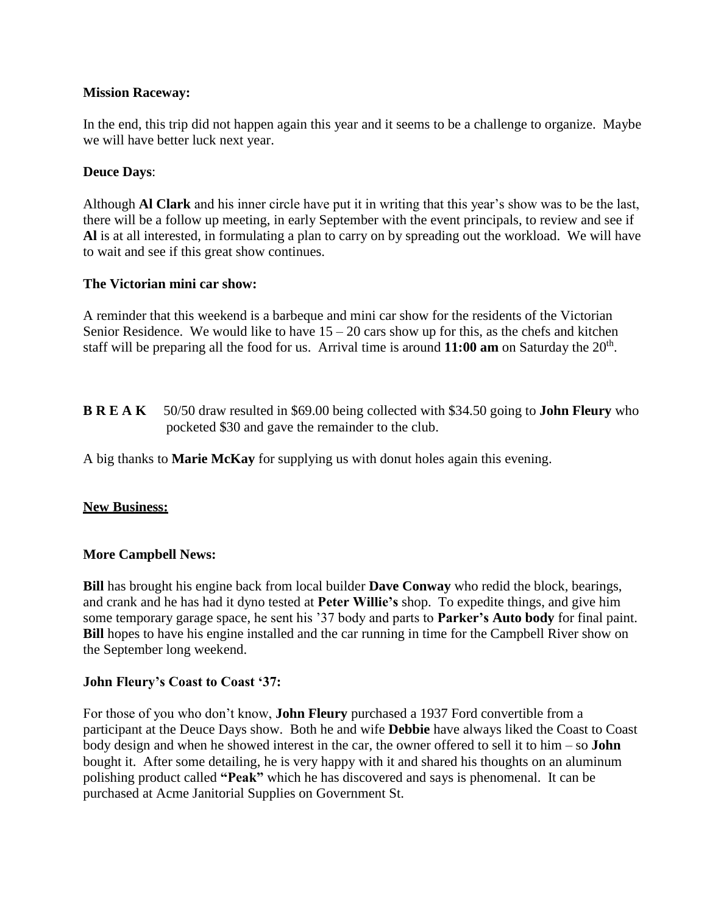# **Mission Raceway:**

In the end, this trip did not happen again this year and it seems to be a challenge to organize. Maybe we will have better luck next year.

# **Deuce Days**:

Although **Al Clark** and his inner circle have put it in writing that this year's show was to be the last, there will be a follow up meeting, in early September with the event principals, to review and see if **Al** is at all interested, in formulating a plan to carry on by spreading out the workload. We will have to wait and see if this great show continues.

# **The Victorian mini car show:**

A reminder that this weekend is a barbeque and mini car show for the residents of the Victorian Senior Residence. We would like to have  $15 - 20$  cars show up for this, as the chefs and kitchen staff will be preparing all the food for us. Arrival time is around  $11:00$  am on Saturday the  $20<sup>th</sup>$ .

**B R E A K** 50/50 draw resulted in \$69.00 being collected with \$34.50 going to **John Fleury** who pocketed \$30 and gave the remainder to the club.

A big thanks to **Marie McKay** for supplying us with donut holes again this evening.

## **New Business:**

## **More Campbell News:**

**Bill** has brought his engine back from local builder **Dave Conway** who redid the block, bearings, and crank and he has had it dyno tested at **Peter Willie's** shop. To expedite things, and give him some temporary garage space, he sent his '37 body and parts to **Parker's Auto body** for final paint. **Bill** hopes to have his engine installed and the car running in time for the Campbell River show on the September long weekend.

## **John Fleury's Coast to Coast '37:**

For those of you who don't know, **John Fleury** purchased a 1937 Ford convertible from a participant at the Deuce Days show. Both he and wife **Debbie** have always liked the Coast to Coast body design and when he showed interest in the car, the owner offered to sell it to him – so **John** bought it. After some detailing, he is very happy with it and shared his thoughts on an aluminum polishing product called **"Peak"** which he has discovered and says is phenomenal. It can be purchased at Acme Janitorial Supplies on Government St.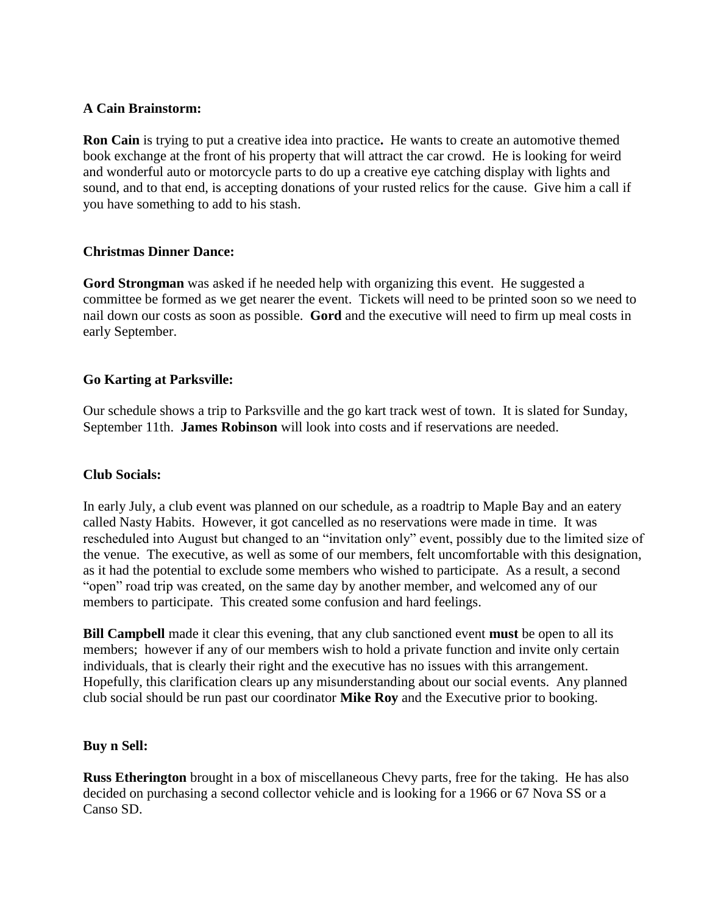# **A Cain Brainstorm:**

**Ron Cain** is trying to put a creative idea into practice**.** He wants to create an automotive themed book exchange at the front of his property that will attract the car crowd. He is looking for weird and wonderful auto or motorcycle parts to do up a creative eye catching display with lights and sound, and to that end, is accepting donations of your rusted relics for the cause. Give him a call if you have something to add to his stash.

# **Christmas Dinner Dance:**

**Gord Strongman** was asked if he needed help with organizing this event. He suggested a committee be formed as we get nearer the event. Tickets will need to be printed soon so we need to nail down our costs as soon as possible. **Gord** and the executive will need to firm up meal costs in early September.

# **Go Karting at Parksville:**

Our schedule shows a trip to Parksville and the go kart track west of town. It is slated for Sunday, September 11th. **James Robinson** will look into costs and if reservations are needed.

## **Club Socials:**

In early July, a club event was planned on our schedule, as a roadtrip to Maple Bay and an eatery called Nasty Habits. However, it got cancelled as no reservations were made in time. It was rescheduled into August but changed to an "invitation only" event, possibly due to the limited size of the venue. The executive, as well as some of our members, felt uncomfortable with this designation, as it had the potential to exclude some members who wished to participate. As a result, a second "open" road trip was created, on the same day by another member, and welcomed any of our members to participate.This created some confusion and hard feelings.

**Bill Campbell** made it clear this evening, that any club sanctioned event **must** be open to all its members; however if any of our members wish to hold a private function and invite only certain individuals, that is clearly their right and the executive has no issues with this arrangement. Hopefully, this clarification clears up any misunderstanding about our social events. Any planned club social should be run past our coordinator **Mike Roy** and the Executive prior to booking.

## **Buy n Sell:**

**Russ Etherington** brought in a box of miscellaneous Chevy parts, free for the taking. He has also decided on purchasing a second collector vehicle and is looking for a 1966 or 67 Nova SS or a Canso SD.